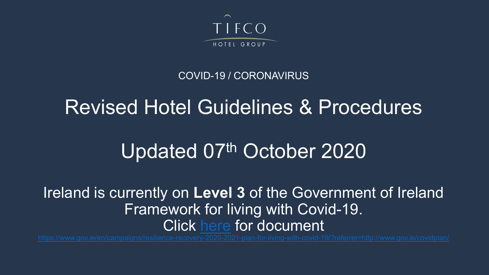

#### COVID-19 / CORONAVIRUS

## Revised Hotel Guidelines & Procedures

# Updated 07th October 2020

#### Ireland is currently on **Level 3** of the Government of Ireland Framework for living with Covid-19. Click [here](https://www.gov.ie/en/campaigns/resilience-recovery-2020-2021-plan-for-living-with-covid-19/?referrer=http://www.gov.ie/covidplan/) for document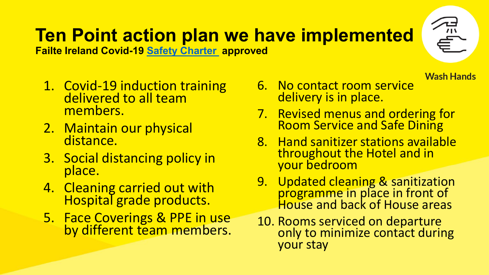# **Ten Point action plan we have implemented**

**Failte Ireland Covid-19 [Safety Charter](https://failtecdn.azureedge.net/failteireland/Guidelines-for-Re-opening-Hotels-and-Guesthouses.pdf) approved** 

- 1. Covid-19 induction training<br>delivered to all team members.
- 2. Maintain our physical distance.
- 3. Social distancing policy in place.
- 4. Cleaning carried out with Hospital grade products.
- 5. Face Coverings & PPE in use by different team members.
- 6. No contact room service delivery is in place.
- 7. Revised menus and ordering for Room Service and Safe Dining

**Wash Hands** 

- 8. Hand sanitizer stations available throughout the Hotel and in your bedroom
- 9. Updated cleaning & sanitization programme in place in front of House and back of House areas
- 10. Rooms serviced on departure only to minimize contact during your stay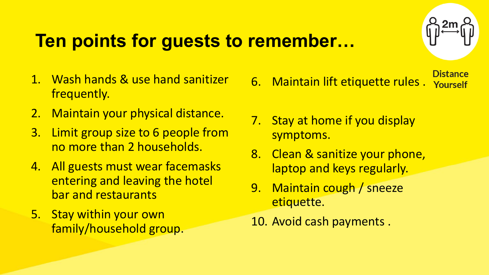## **Ten points for guests to remember…**

- 1. Wash hands & use hand sanitizer frequently.
- 2. Maintain your physical distance.
- 3. Limit group size to 6 people from no more than 2 households.
- 4. All guests must wear facemasks entering and leaving the hotel bar and restaurants
- 5. Stay within your own family/household group.
- **Distance** 6. Maintain lift etiquette rules . Yourself
- 7. Stay at home if you display symptoms.
- 8. Clean & sanitize your phone, laptop and keys regularly.
- 9. Maintain cough / sneeze etiquette.
- 10. Avoid cash payments .

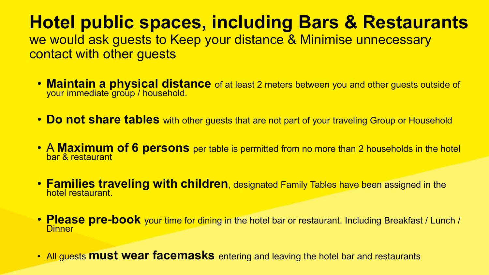#### **Hotel public spaces, including Bars & Restaurants**  we would ask guests to Keep your distance & Minimise unnecessary

contact with other guests

- **Maintain a physical distance** of at least 2 meters between you and other guests outside of your immediate group / household.
- **Do not share tables** with other guests that are not part of your traveling Group or Household
- A **Maximum of 6 persons** per table is permitted from no more than 2 households in the hotel bar & restaurant
- **Families traveling with children**, designated Family Tables have been assigned in the hotel restaurant.
- **Please pre-book** your time for dining in the hotel bar or restaurant. Including Breakfast / Lunch / Dinner
- All guests **must wear facemasks** entering and leaving the hotel bar and restaurants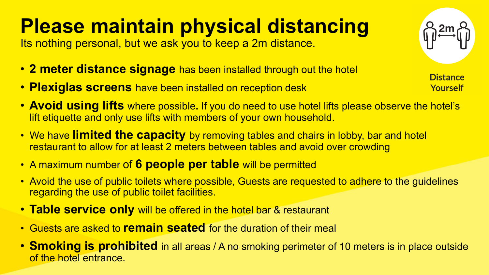# **Please maintain physical distancing**

Its nothing personal, but we ask you to keep a 2m distance.

- **2 meter distance signage** has been installed through out the hotel
- **Plexiglas screens** have been installed on reception desk
- **Avoid using lifts** where possible**.** If you do need to use hotel lifts please observe the hotel's lift etiquette and only use lifts with members of your own household.
- We have **limited the capacity** by removing tables and chairs in lobby, bar and hotel restaurant to allow for at least 2 meters between tables and avoid over crowding
- A maximum number of **6 people per table** will be permitted
- Avoid the use of public toilets where possible, Guests are requested to adhere to the guidelines regarding the use of public toilet facilities.
- **Table service only** will be offered in the hotel bar & restaurant
- Guests are asked to **remain seated** for the duration of their meal
- **Smoking is prohibited** in all areas / A no smoking perimeter of 10 meters is in place outside of the hotel entrance.

**Distance Yourself**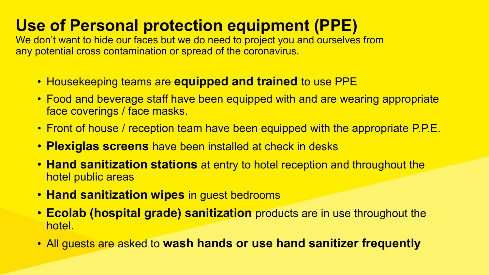### **Use of Personal protection equipment (PPE)**

We don't want to hide our faces but we do need to project you and ourselves from any potential cross contamination or spread of the coronavirus.

- Housekeeping teams are **equipped and trained** to use PPE
- Food and beverage staff have been equipped with and are wearing appropriate face coverings / face masks.
- Front of house / reception team have been equipped with the appropriate P.P.E.
- **Plexiglas screens** have been installed at check in desks
- **Hand sanitization stations** at entry to hotel reception and throughout the hotel public areas
- **Hand sanitization wipes** in guest bedrooms
- **Ecolab (hospital grade) sanitization** products are in use throughout the hotel.
- All guests are asked to **wash hands or use hand sanitizer frequently**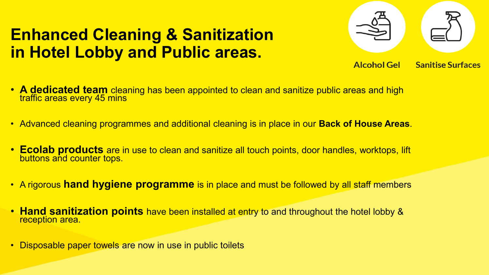### **Enhanced Cleaning & Sanitization in Hotel Lobby and Public areas.**

- **Alcohol Gel Sanitise Surfaces**
- **A dedicated team** cleaning has been appointed to clean and sanitize public areas and high traffic areas every 45 mins
- Advanced cleaning programmes and additional cleaning is in place in our **Back of House Areas**.
- **Ecolab products** are in use to clean and sanitize all touch points, door handles, worktops, lift buttons and counter tops.
- A rigorous **hand hygiene programme** is in place and must be followed by all staff members
- **Hand sanitization points** have been installed at entry to and throughout the hotel lobby & reception area.
- Disposable paper towels are now in use in public toilets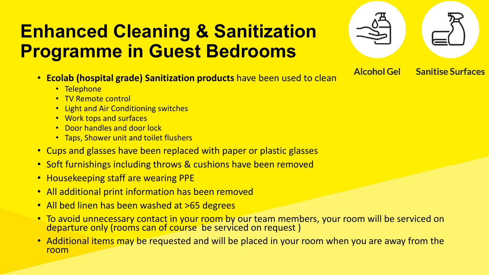## **Enhanced Cleaning & Sanitization Programme in Guest Bedrooms**

- **Ecolab (hospital grade) Sanitization products** have been used to clean
	- Telephone
	- TV Remote control
	- Light and Air Conditioning switches
	- Work tops and surfaces
	- Door handles and door lock
	- Taps, Shower unit and toilet flushers
- Cups and glasses have been replaced with paper or plastic glasses
- Soft furnishings including throws & cushions have been removed
- Housekeeping staff are wearing PPE
- All additional print information has been removed
- All bed linen has been washed at >65 degrees
- To avoid unnecessary contact in your room by our team members, your room will be serviced on departure only (rooms can of course be serviced on request )

**Sanitise Surfaces** 

**Alcohol Gel** 

• Additional items may be requested and will be placed in your room when you are away from the room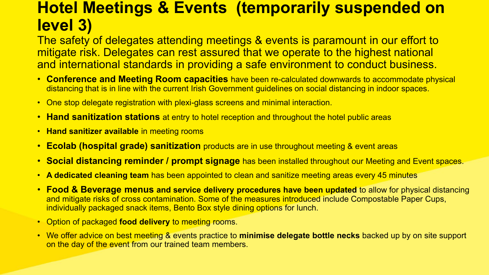### **Hotel Meetings & Events (temporarily suspended on level 3)**

The safety of delegates attending meetings & events is paramount in our effort to mitigate risk. Delegates can rest assured that we operate to the highest national and international standards in providing a safe environment to conduct business.

- **Conference and Meeting Room capacities** have been re-calculated downwards to accommodate physical distancing that is in line with the current Irish Government guidelines on social distancing in indoor spaces.
- One stop delegate registration with plexi-glass screens and minimal interaction.
- **Hand sanitization stations** at entry to hotel reception and throughout the hotel public areas
- **Hand sanitizer available** in meeting rooms
- **Ecolab (hospital grade) sanitization** products are in use throughout meeting & event areas
- **Social distancing reminder / prompt signage** has been installed throughout our Meeting and Event spaces.
- **A dedicated cleaning team** has been appointed to clean and sanitize meeting areas every 45 minutes
- **Food & Beverage menus and service delivery procedures have been updated** to allow for physical distancing and mitigate risks of cross contamination. Some of the measures introduced include Compostable Paper Cups, individually packaged snack items, Bento Box style dining options for lunch.
- Option of packaged **food delivery** to meeting rooms.
- We offer advice on best meeting & events practice to **minimise delegate bottle necks** backed up by on site support on the day of the event from our trained team members.